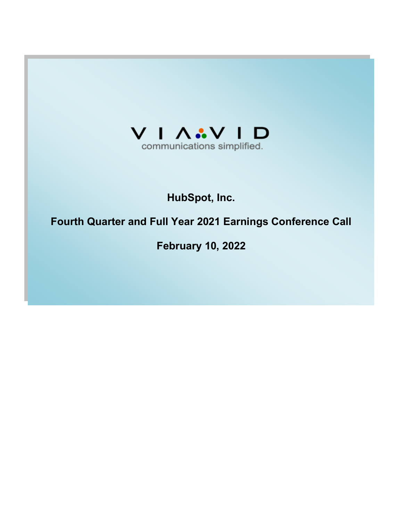

# **HubSpot, Inc.**

# **Fourth Quarter and Full Year 2021 Earnings Conference Call**

**February 10, 2022**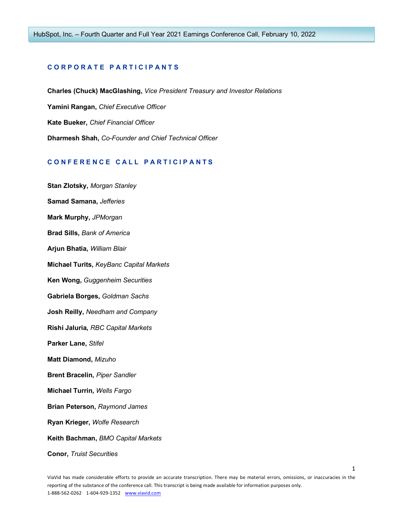# **C O R P O R A T E P A R T I C I P A N T S**

**Charles (Chuck) MacGlashing,** *Vice President Treasury and Investor Relations* **Yamini Rangan,** *Chief Executive Officer* **Kate Bueker,** *Chief Financial Officer* **Dharmesh Shah,** *Co-Founder and Chief Technical Officer*

#### **C O N F E R E N C E C A L L P A R T I C I P A N T S**

**Stan Zlotsky,** *Morgan Stanley* **Samad Samana,** *Jefferies* **Mark Murphy,** *JPMorgan* **Brad Sills,** *Bank of America* **Arjun Bhatia,** *William Blair* **Michael Turits,** *KeyBanc Capital Markets* **Ken Wong,** *Guggenheim Securities* **Gabriela Borges,** *Goldman Sachs* **Josh Reilly,** *Needham and Company* **Rishi Jaluria,** *RBC Capital Markets* **Parker Lane,** *Stifel* **Matt Diamond,** *Mizuho* **Brent Bracelin,** *Piper Sandler* **Michael Turrin,** *Wells Fargo* **Brian Peterson,** *Raymond James* **Ryan Krieger,** *Wolfe Research* **Keith Bachman,** *BMO Capital Markets* **Conor,** *Truist Securities*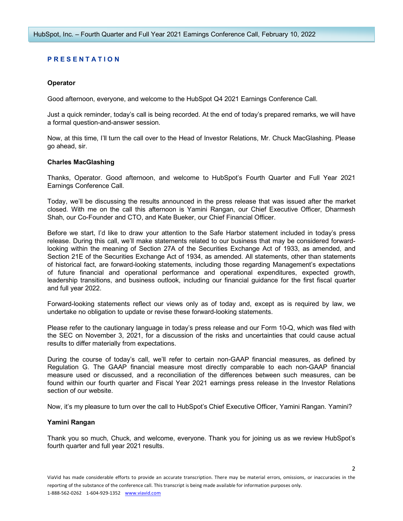# **P R E S E N T A T I O N**

## **Operator**

Good afternoon, everyone, and welcome to the HubSpot Q4 2021 Earnings Conference Call.

Just a quick reminder, today's call is being recorded. At the end of today's prepared remarks, we will have a formal question-and-answer session.

Now, at this time, I'll turn the call over to the Head of Investor Relations, Mr. Chuck MacGlashing. Please go ahead, sir.

## **Charles MacGlashing**

Thanks, Operator. Good afternoon, and welcome to HubSpot's Fourth Quarter and Full Year 2021 Earnings Conference Call.

Today, we'll be discussing the results announced in the press release that was issued after the market closed. With me on the call this afternoon is Yamini Rangan, our Chief Executive Officer, Dharmesh Shah, our Co-Founder and CTO, and Kate Bueker, our Chief Financial Officer.

Before we start, I'd like to draw your attention to the Safe Harbor statement included in today's press release. During this call, we'll make statements related to our business that may be considered forwardlooking within the meaning of Section 27A of the Securities Exchange Act of 1933, as amended, and Section 21E of the Securities Exchange Act of 1934, as amended. All statements, other than statements of historical fact, are forward-looking statements, including those regarding Management's expectations of future financial and operational performance and operational expenditures, expected growth, leadership transitions, and business outlook, including our financial guidance for the first fiscal quarter and full year 2022.

Forward-looking statements reflect our views only as of today and, except as is required by law, we undertake no obligation to update or revise these forward-looking statements.

Please refer to the cautionary language in today's press release and our Form 10-Q, which was filed with the SEC on November 3, 2021, for a discussion of the risks and uncertainties that could cause actual results to differ materially from expectations.

During the course of today's call, we'll refer to certain non-GAAP financial measures, as defined by Regulation G. The GAAP financial measure most directly comparable to each non-GAAP financial measure used or discussed, and a reconciliation of the differences between such measures, can be found within our fourth quarter and Fiscal Year 2021 earnings press release in the Investor Relations section of our website.

Now, it's my pleasure to turn over the call to HubSpot's Chief Executive Officer, Yamini Rangan. Yamini?

## **Yamini Rangan**

Thank you so much, Chuck, and welcome, everyone. Thank you for joining us as we review HubSpot's fourth quarter and full year 2021 results.

 $\overline{\phantom{a}}$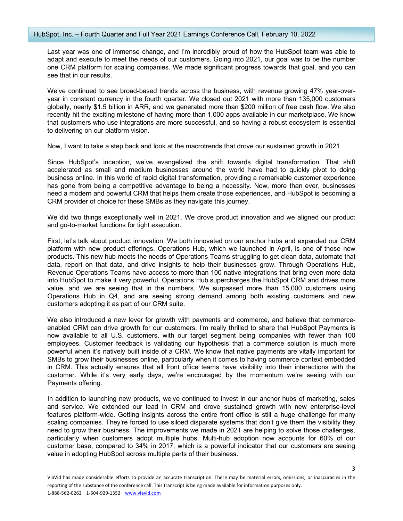Last year was one of immense change, and I'm incredibly proud of how the HubSpot team was able to adapt and execute to meet the needs of our customers. Going into 2021, our goal was to be the number one CRM platform for scaling companies. We made significant progress towards that goal, and you can see that in our results.

We've continued to see broad-based trends across the business, with revenue growing 47% year-overyear in constant currency in the fourth quarter. We closed out 2021 with more than 135,000 customers globally, nearly \$1.5 billion in ARR, and we generated more than \$200 million of free cash flow. We also recently hit the exciting milestone of having more than 1,000 apps available in our marketplace. We know that customers who use integrations are more successful, and so having a robust ecosystem is essential to delivering on our platform vision.

Now, I want to take a step back and look at the macrotrends that drove our sustained growth in 2021.

Since HubSpot's inception, we've evangelized the shift towards digital transformation. That shift accelerated as small and medium businesses around the world have had to quickly pivot to doing business online. In this world of rapid digital transformation, providing a remarkable customer experience has gone from being a competitive advantage to being a necessity. Now, more than ever, businesses need a modern and powerful CRM that helps them create those experiences, and HubSpot is becoming a CRM provider of choice for these SMBs as they navigate this journey.

We did two things exceptionally well in 2021. We drove product innovation and we aligned our product and go-to-market functions for tight execution.

First, let's talk about product innovation. We both innovated on our anchor hubs and expanded our CRM platform with new product offerings. Operations Hub, which we launched in April, is one of those new products. This new hub meets the needs of Operations Teams struggling to get clean data, automate that data, report on that data, and drive insights to help their businesses grow. Through Operations Hub, Revenue Operations Teams have access to more than 100 native integrations that bring even more data into HubSpot to make it very powerful. Operations Hub supercharges the HubSpot CRM and drives more value, and we are seeing that in the numbers. We surpassed more than 15,000 customers using Operations Hub in Q4, and are seeing strong demand among both existing customers and new customers adopting it as part of our CRM suite.

We also introduced a new lever for growth with payments and commerce, and believe that commerceenabled CRM can drive growth for our customers. I'm really thrilled to share that HubSpot Payments is now available to all U.S. customers, with our target segment being companies with fewer than 100 employees. Customer feedback is validating our hypothesis that a commerce solution is much more powerful when it's natively built inside of a CRM. We know that native payments are vitally important for SMBs to grow their businesses online, particularly when it comes to having commerce context embedded in CRM. This actually ensures that all front office teams have visibility into their interactions with the customer. While it's very early days, we're encouraged by the momentum we're seeing with our Payments offering.

In addition to launching new products, we've continued to invest in our anchor hubs of marketing, sales and service. We extended our lead in CRM and drove sustained growth with new enterprise-level features platform-wide. Getting insights across the entire front office is still a huge challenge for many scaling companies. They're forced to use siloed disparate systems that don't give them the visibility they need to grow their business. The improvements we made in 2021 are helping to solve those challenges, particularly when customers adopt multiple hubs. Multi-hub adoption now accounts for 60% of our customer base, compared to 34% in 2017, which is a powerful indicator that our customers are seeing value in adopting HubSpot across multiple parts of their business.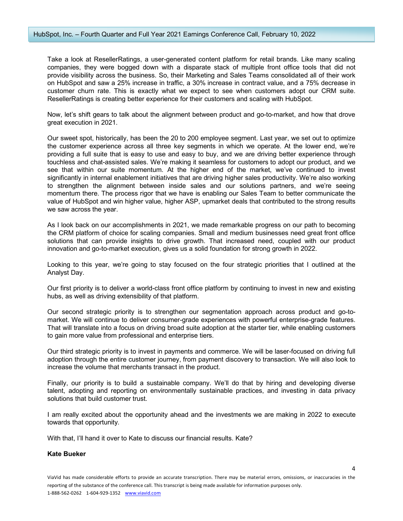#### HubSpot, Inc. – Fourth Quarter and Full Year 2021 Earnings Conference Call, February 10, 2022

Take a look at ResellerRatings, a user-generated content platform for retail brands. Like many scaling companies, they were bogged down with a disparate stack of multiple front office tools that did not provide visibility across the business. So, their Marketing and Sales Teams consolidated all of their work on HubSpot and saw a 25% increase in traffic, a 30% increase in contract value, and a 75% decrease in customer churn rate. This is exactly what we expect to see when customers adopt our CRM suite. ResellerRatings is creating better experience for their customers and scaling with HubSpot.

Now, let's shift gears to talk about the alignment between product and go-to-market, and how that drove great execution in 2021.

Our sweet spot, historically, has been the 20 to 200 employee segment. Last year, we set out to optimize the customer experience across all three key segments in which we operate. At the lower end, we're providing a full suite that is easy to use and easy to buy, and we are driving better experience through touchless and chat-assisted sales. We're making it seamless for customers to adopt our product, and we see that within our suite momentum. At the higher end of the market, we've continued to invest significantly in internal enablement initiatives that are driving higher sales productivity. We're also working to strengthen the alignment between inside sales and our solutions partners, and we're seeing momentum there. The process rigor that we have is enabling our Sales Team to better communicate the value of HubSpot and win higher value, higher ASP, upmarket deals that contributed to the strong results we saw across the year.

As I look back on our accomplishments in 2021, we made remarkable progress on our path to becoming the CRM platform of choice for scaling companies. Small and medium businesses need great front office solutions that can provide insights to drive growth. That increased need, coupled with our product innovation and go-to-market execution, gives us a solid foundation for strong growth in 2022.

Looking to this year, we're going to stay focused on the four strategic priorities that I outlined at the Analyst Day.

Our first priority is to deliver a world-class front office platform by continuing to invest in new and existing hubs, as well as driving extensibility of that platform.

Our second strategic priority is to strengthen our segmentation approach across product and go-tomarket. We will continue to deliver consumer-grade experiences with powerful enterprise-grade features. That will translate into a focus on driving broad suite adoption at the starter tier, while enabling customers to gain more value from professional and enterprise tiers.

Our third strategic priority is to invest in payments and commerce. We will be laser-focused on driving full adoption through the entire customer journey, from payment discovery to transaction. We will also look to increase the volume that merchants transact in the product.

Finally, our priority is to build a sustainable company. We'll do that by hiring and developing diverse talent, adopting and reporting on environmentally sustainable practices, and investing in data privacy solutions that build customer trust.

I am really excited about the opportunity ahead and the investments we are making in 2022 to execute towards that opportunity.

With that, I'll hand it over to Kate to discuss our financial results. Kate?

#### **Kate Bueker**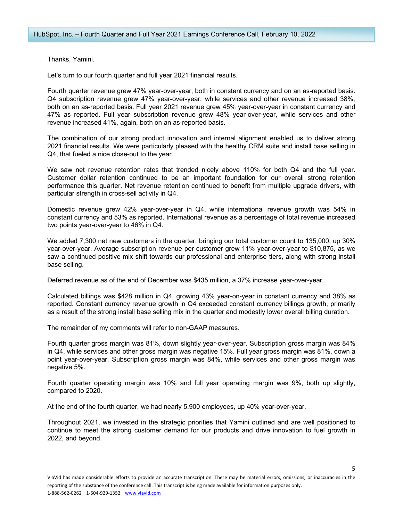Thanks, Yamini.

Let's turn to our fourth quarter and full year 2021 financial results.

Fourth quarter revenue grew 47% year-over-year, both in constant currency and on an as-reported basis. Q4 subscription revenue grew 47% year-over-year, while services and other revenue increased 38%, both on an as-reported basis. Full year 2021 revenue grew 45% year-over-year in constant currency and 47% as reported. Full year subscription revenue grew 48% year-over-year, while services and other revenue increased 41%, again, both on an as-reported basis.

The combination of our strong product innovation and internal alignment enabled us to deliver strong 2021 financial results. We were particularly pleased with the healthy CRM suite and install base selling in Q4, that fueled a nice close-out to the year.

We saw net revenue retention rates that trended nicely above 110% for both Q4 and the full year. Customer dollar retention continued to be an important foundation for our overall strong retention performance this quarter. Net revenue retention continued to benefit from multiple upgrade drivers, with particular strength in cross-sell activity in Q4.

Domestic revenue grew 42% year-over-year in Q4, while international revenue growth was 54% in constant currency and 53% as reported. International revenue as a percentage of total revenue increased two points year-over-year to 46% in Q4.

We added 7,300 net new customers in the quarter, bringing our total customer count to 135,000, up 30% year-over-year. Average subscription revenue per customer grew 11% year-over-year to \$10,875, as we saw a continued positive mix shift towards our professional and enterprise tiers, along with strong install base selling.

Deferred revenue as of the end of December was \$435 million, a 37% increase year-over-year.

Calculated billings was \$428 million in Q4, growing 43% year-on-year in constant currency and 38% as reported. Constant currency revenue growth in Q4 exceeded constant currency billings growth, primarily as a result of the strong install base selling mix in the quarter and modestly lower overall billing duration.

The remainder of my comments will refer to non-GAAP measures.

Fourth quarter gross margin was 81%, down slightly year-over-year. Subscription gross margin was 84% in Q4, while services and other gross margin was negative 15%. Full year gross margin was 81%, down a point year-over-year. Subscription gross margin was 84%, while services and other gross margin was negative 5%.

Fourth quarter operating margin was 10% and full year operating margin was 9%, both up slightly, compared to 2020.

At the end of the fourth quarter, we had nearly 5,900 employees, up 40% year-over-year.

Throughout 2021, we invested in the strategic priorities that Yamini outlined and are well positioned to continue to meet the strong customer demand for our products and drive innovation to fuel growth in 2022, and beyond.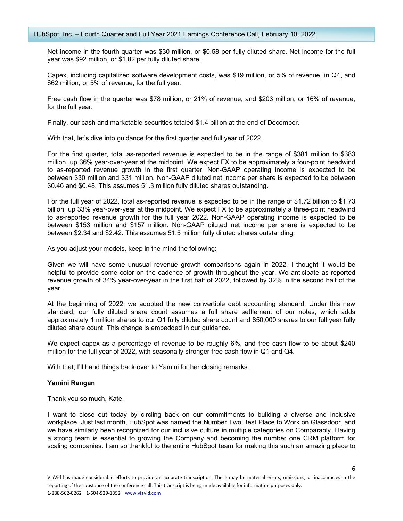Net income in the fourth quarter was \$30 million, or \$0.58 per fully diluted share. Net income for the full year was \$92 million, or \$1.82 per fully diluted share.

Capex, including capitalized software development costs, was \$19 million, or 5% of revenue, in Q4, and \$62 million, or 5% of revenue, for the full year.

Free cash flow in the quarter was \$78 million, or 21% of revenue, and \$203 million, or 16% of revenue, for the full year.

Finally, our cash and marketable securities totaled \$1.4 billion at the end of December.

With that, let's dive into guidance for the first quarter and full year of 2022.

For the first quarter, total as-reported revenue is expected to be in the range of \$381 million to \$383 million, up 36% year-over-year at the midpoint. We expect FX to be approximately a four-point headwind to as-reported revenue growth in the first quarter. Non-GAAP operating income is expected to be between \$30 million and \$31 million. Non-GAAP diluted net income per share is expected to be between \$0.46 and \$0.48. This assumes 51.3 million fully diluted shares outstanding.

For the full year of 2022, total as-reported revenue is expected to be in the range of \$1.72 billion to \$1.73 billion, up 33% year-over-year at the midpoint. We expect FX to be approximately a three-point headwind to as-reported revenue growth for the full year 2022. Non-GAAP operating income is expected to be between \$153 million and \$157 million. Non-GAAP diluted net income per share is expected to be between \$2.34 and \$2.42. This assumes 51.5 million fully diluted shares outstanding.

As you adjust your models, keep in the mind the following:

Given we will have some unusual revenue growth comparisons again in 2022, I thought it would be helpful to provide some color on the cadence of growth throughout the year. We anticipate as-reported revenue growth of 34% year-over-year in the first half of 2022, followed by 32% in the second half of the year.

At the beginning of 2022, we adopted the new convertible debt accounting standard. Under this new standard, our fully diluted share count assumes a full share settlement of our notes, which adds approximately 1 million shares to our Q1 fully diluted share count and 850,000 shares to our full year fully diluted share count. This change is embedded in our guidance.

We expect capex as a percentage of revenue to be roughly 6%, and free cash flow to be about \$240 million for the full year of 2022, with seasonally stronger free cash flow in Q1 and Q4.

With that, I'll hand things back over to Yamini for her closing remarks.

## **Yamini Rangan**

Thank you so much, Kate.

I want to close out today by circling back on our commitments to building a diverse and inclusive workplace. Just last month, HubSpot was named the Number Two Best Place to Work on Glassdoor, and we have similarly been recognized for our inclusive culture in multiple categories on Comparably. Having a strong team is essential to growing the Company and becoming the number one CRM platform for scaling companies. I am so thankful to the entire HubSpot team for making this such an amazing place to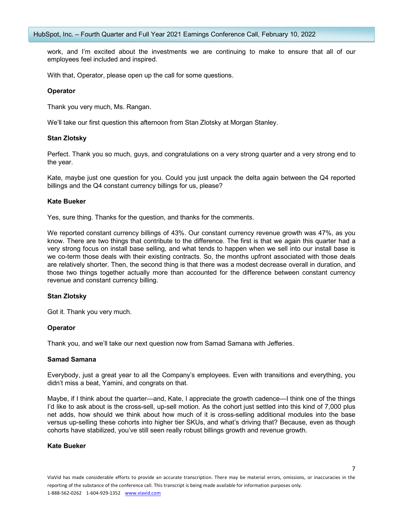work, and I'm excited about the investments we are continuing to make to ensure that all of our employees feel included and inspired.

With that, Operator, please open up the call for some questions.

## **Operator**

Thank you very much, Ms. Rangan.

We'll take our first question this afternoon from Stan Zlotsky at Morgan Stanley.

## **Stan Zlotsky**

Perfect. Thank you so much, guys, and congratulations on a very strong quarter and a very strong end to the year.

Kate, maybe just one question for you. Could you just unpack the delta again between the Q4 reported billings and the Q4 constant currency billings for us, please?

#### **Kate Bueker**

Yes, sure thing. Thanks for the question, and thanks for the comments.

We reported constant currency billings of 43%. Our constant currency revenue growth was 47%, as you know. There are two things that contribute to the difference. The first is that we again this quarter had a very strong focus on install base selling, and what tends to happen when we sell into our install base is we co-term those deals with their existing contracts. So, the months upfront associated with those deals are relatively shorter. Then, the second thing is that there was a modest decrease overall in duration, and those two things together actually more than accounted for the difference between constant currency revenue and constant currency billing.

## **Stan Zlotsky**

Got it. Thank you very much.

## **Operator**

Thank you, and we'll take our next question now from Samad Samana with Jefferies.

#### **Samad Samana**

Everybody, just a great year to all the Company's employees. Even with transitions and everything, you didn't miss a beat, Yamini, and congrats on that.

Maybe, if I think about the quarter—and, Kate, I appreciate the growth cadence—I think one of the things I'd like to ask about is the cross-sell, up-sell motion. As the cohort just settled into this kind of 7,000 plus net adds, how should we think about how much of it is cross-selling additional modules into the base versus up-selling these cohorts into higher tier SKUs, and what's driving that? Because, even as though cohorts have stabilized, you've still seen really robust billings growth and revenue growth.

#### **Kate Bueker**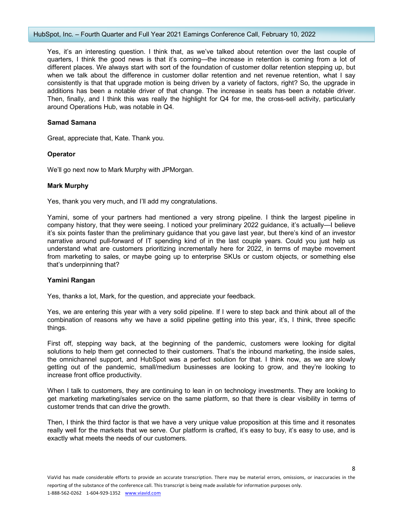Yes, it's an interesting question. I think that, as we've talked about retention over the last couple of quarters, I think the good news is that it's coming—the increase in retention is coming from a lot of different places. We always start with sort of the foundation of customer dollar retention stepping up, but when we talk about the difference in customer dollar retention and net revenue retention, what I say consistently is that that upgrade motion is being driven by a variety of factors, right? So, the upgrade in additions has been a notable driver of that change. The increase in seats has been a notable driver. Then, finally, and I think this was really the highlight for Q4 for me, the cross-sell activity, particularly around Operations Hub, was notable in Q4.

## **Samad Samana**

Great, appreciate that, Kate. Thank you.

## **Operator**

We'll go next now to Mark Murphy with JPMorgan.

## **Mark Murphy**

Yes, thank you very much, and I'll add my congratulations.

Yamini, some of your partners had mentioned a very strong pipeline. I think the largest pipeline in company history, that they were seeing. I noticed your preliminary 2022 guidance, it's actually—I believe it's six points faster than the preliminary guidance that you gave last year, but there's kind of an investor narrative around pull-forward of IT spending kind of in the last couple years. Could you just help us understand what are customers prioritizing incrementally here for 2022, in terms of maybe movement from marketing to sales, or maybe going up to enterprise SKUs or custom objects, or something else that's underpinning that?

## **Yamini Rangan**

Yes, thanks a lot, Mark, for the question, and appreciate your feedback.

Yes, we are entering this year with a very solid pipeline. If I were to step back and think about all of the combination of reasons why we have a solid pipeline getting into this year, it's, I think, three specific things.

First off, stepping way back, at the beginning of the pandemic, customers were looking for digital solutions to help them get connected to their customers. That's the inbound marketing, the inside sales, the omnichannel support, and HubSpot was a perfect solution for that. I think now, as we are slowly getting out of the pandemic, small/medium businesses are looking to grow, and they're looking to increase front office productivity.

When I talk to customers, they are continuing to lean in on technology investments. They are looking to get marketing marketing/sales service on the same platform, so that there is clear visibility in terms of customer trends that can drive the growth.

Then, I think the third factor is that we have a very unique value proposition at this time and it resonates really well for the markets that we serve. Our platform is crafted, it's easy to buy, it's easy to use, and is exactly what meets the needs of our customers.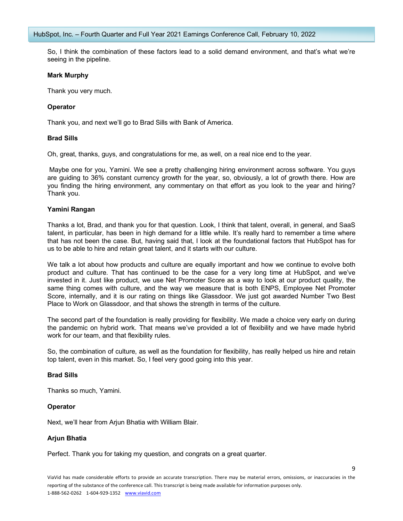So, I think the combination of these factors lead to a solid demand environment, and that's what we're seeing in the pipeline.

#### **Mark Murphy**

Thank you very much.

## **Operator**

Thank you, and next we'll go to Brad Sills with Bank of America.

#### **Brad Sills**

Oh, great, thanks, guys, and congratulations for me, as well, on a real nice end to the year.

Maybe one for you, Yamini. We see a pretty challenging hiring environment across software. You guys are guiding to 36% constant currency growth for the year, so, obviously, a lot of growth there. How are you finding the hiring environment, any commentary on that effort as you look to the year and hiring? Thank you.

#### **Yamini Rangan**

Thanks a lot, Brad, and thank you for that question. Look, I think that talent, overall, in general, and SaaS talent, in particular, has been in high demand for a little while. It's really hard to remember a time where that has not been the case. But, having said that, I look at the foundational factors that HubSpot has for us to be able to hire and retain great talent, and it starts with our culture.

We talk a lot about how products and culture are equally important and how we continue to evolve both product and culture. That has continued to be the case for a very long time at HubSpot, and we've invested in it. Just like product, we use Net Promoter Score as a way to look at our product quality, the same thing comes with culture, and the way we measure that is both ENPS, Employee Net Promoter Score, internally, and it is our rating on things like Glassdoor. We just got awarded Number Two Best Place to Work on Glassdoor, and that shows the strength in terms of the culture.

The second part of the foundation is really providing for flexibility. We made a choice very early on during the pandemic on hybrid work. That means we've provided a lot of flexibility and we have made hybrid work for our team, and that flexibility rules.

So, the combination of culture, as well as the foundation for flexibility, has really helped us hire and retain top talent, even in this market. So, I feel very good going into this year.

## **Brad Sills**

Thanks so much, Yamini.

#### **Operator**

Next, we'll hear from Arjun Bhatia with William Blair.

## **Arjun Bhatia**

Perfect. Thank you for taking my question, and congrats on a great quarter.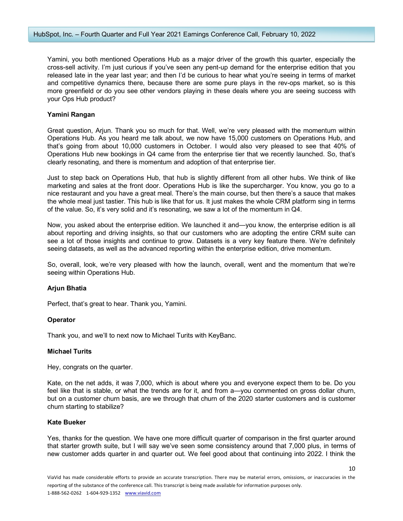Yamini, you both mentioned Operations Hub as a major driver of the growth this quarter, especially the cross-sell activity. I'm just curious if you've seen any pent-up demand for the enterprise edition that you released late in the year last year; and then I'd be curious to hear what you're seeing in terms of market and competitive dynamics there, because there are some pure plays in the rev-ops market, so is this more greenfield or do you see other vendors playing in these deals where you are seeing success with your Ops Hub product?

#### **Yamini Rangan**

Great question, Arjun. Thank you so much for that. Well, we're very pleased with the momentum within Operations Hub. As you heard me talk about, we now have 15,000 customers on Operations Hub, and that's going from about 10,000 customers in October. I would also very pleased to see that 40% of Operations Hub new bookings in Q4 came from the enterprise tier that we recently launched. So, that's clearly resonating, and there is momentum and adoption of that enterprise tier.

Just to step back on Operations Hub, that hub is slightly different from all other hubs. We think of like marketing and sales at the front door. Operations Hub is like the supercharger. You know, you go to a nice restaurant and you have a great meal. There's the main course, but then there's a sauce that makes the whole meal just tastier. This hub is like that for us. It just makes the whole CRM platform sing in terms of the value. So, it's very solid and it's resonating, we saw a lot of the momentum in Q4.

Now, you asked about the enterprise edition. We launched it and—you know, the enterprise edition is all about reporting and driving insights, so that our customers who are adopting the entire CRM suite can see a lot of those insights and continue to grow. Datasets is a very key feature there. We're definitely seeing datasets, as well as the advanced reporting within the enterprise edition, drive momentum.

So, overall, look, we're very pleased with how the launch, overall, went and the momentum that we're seeing within Operations Hub.

#### **Arjun Bhatia**

Perfect, that's great to hear. Thank you, Yamini.

#### **Operator**

Thank you, and we'll to next now to Michael Turits with KeyBanc.

#### **Michael Turits**

Hey, congrats on the quarter.

Kate, on the net adds, it was 7,000, which is about where you and everyone expect them to be. Do you feel like that is stable, or what the trends are for it, and from a—you commented on gross dollar churn, but on a customer churn basis, are we through that churn of the 2020 starter customers and is customer churn starting to stabilize?

#### **Kate Bueker**

Yes, thanks for the question. We have one more difficult quarter of comparison in the first quarter around that starter growth suite, but I will say we've seen some consistency around that 7,000 plus, in terms of new customer adds quarter in and quarter out. We feel good about that continuing into 2022. I think the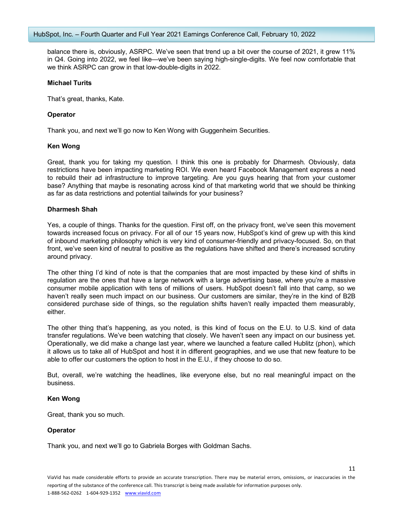balance there is, obviously, ASRPC. We've seen that trend up a bit over the course of 2021, it grew 11% in Q4. Going into 2022, we feel like—we've been saying high-single-digits. We feel now comfortable that we think ASRPC can grow in that low-double-digits in 2022.

#### **Michael Turits**

That's great, thanks, Kate.

## **Operator**

Thank you, and next we'll go now to Ken Wong with Guggenheim Securities.

## **Ken Wong**

Great, thank you for taking my question. I think this one is probably for Dharmesh. Obviously, data restrictions have been impacting marketing ROI. We even heard Facebook Management express a need to rebuild their ad infrastructure to improve targeting. Are you guys hearing that from your customer base? Anything that maybe is resonating across kind of that marketing world that we should be thinking as far as data restrictions and potential tailwinds for your business?

## **Dharmesh Shah**

Yes, a couple of things. Thanks for the question. First off, on the privacy front, we've seen this movement towards increased focus on privacy. For all of our 15 years now, HubSpot's kind of grew up with this kind of inbound marketing philosophy which is very kind of consumer-friendly and privacy-focused. So, on that front, we've seen kind of neutral to positive as the regulations have shifted and there's increased scrutiny around privacy.

The other thing I'd kind of note is that the companies that are most impacted by these kind of shifts in regulation are the ones that have a large network with a large advertising base, where you're a massive consumer mobile application with tens of millions of users. HubSpot doesn't fall into that camp, so we haven't really seen much impact on our business. Our customers are similar, they're in the kind of B2B considered purchase side of things, so the regulation shifts haven't really impacted them measurably, either.

The other thing that's happening, as you noted, is this kind of focus on the E.U. to U.S. kind of data transfer regulations. We've been watching that closely. We haven't seen any impact on our business yet. Operationally, we did make a change last year, where we launched a feature called Hublitz (phon), which it allows us to take all of HubSpot and host it in different geographies, and we use that new feature to be able to offer our customers the option to host in the E.U., if they choose to do so.

But, overall, we're watching the headlines, like everyone else, but no real meaningful impact on the business.

## **Ken Wong**

Great, thank you so much.

## **Operator**

Thank you, and next we'll go to Gabriela Borges with Goldman Sachs.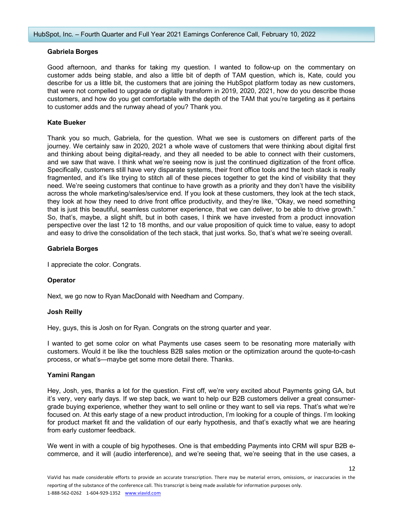## **Gabriela Borges**

Good afternoon, and thanks for taking my question. I wanted to follow-up on the commentary on customer adds being stable, and also a little bit of depth of TAM question, which is, Kate, could you describe for us a little bit, the customers that are joining the HubSpot platform today as new customers, that were not compelled to upgrade or digitally transform in 2019, 2020, 2021, how do you describe those customers, and how do you get comfortable with the depth of the TAM that you're targeting as it pertains to customer adds and the runway ahead of you? Thank you.

# **Kate Bueker**

Thank you so much, Gabriela, for the question. What we see is customers on different parts of the journey. We certainly saw in 2020, 2021 a whole wave of customers that were thinking about digital first and thinking about being digital-ready, and they all needed to be able to connect with their customers, and we saw that wave. I think what we're seeing now is just the continued digitization of the front office. Specifically, customers still have very disparate systems, their front office tools and the tech stack is really fragmented, and it's like trying to stitch all of these pieces together to get the kind of visibility that they need. We're seeing customers that continue to have growth as a priority and they don't have the visibility across the whole marketing/sales/service end. If you look at these customers, they look at the tech stack, they look at how they need to drive front office productivity, and they're like, "Okay, we need something that is just this beautiful, seamless customer experience, that we can deliver, to be able to drive growth." So, that's, maybe, a slight shift, but in both cases, I think we have invested from a product innovation perspective over the last 12 to 18 months, and our value proposition of quick time to value, easy to adopt and easy to drive the consolidation of the tech stack, that just works. So, that's what we're seeing overall.

## **Gabriela Borges**

I appreciate the color. Congrats.

## **Operator**

Next, we go now to Ryan MacDonald with Needham and Company.

## **Josh Reilly**

Hey, guys, this is Josh on for Ryan. Congrats on the strong quarter and year.

I wanted to get some color on what Payments use cases seem to be resonating more materially with customers. Would it be like the touchless B2B sales motion or the optimization around the quote-to-cash process, or what's—maybe get some more detail there. Thanks.

## **Yamini Rangan**

Hey, Josh, yes, thanks a lot for the question. First off, we're very excited about Payments going GA, but it's very, very early days. If we step back, we want to help our B2B customers deliver a great consumergrade buying experience, whether they want to sell online or they want to sell via reps. That's what we're focused on. At this early stage of a new product introduction, I'm looking for a couple of things. I'm looking for product market fit and the validation of our early hypothesis, and that's exactly what we are hearing from early customer feedback.

We went in with a couple of big hypotheses. One is that embedding Payments into CRM will spur B2B ecommerce, and it will (audio interference), and we're seeing that, we're seeing that in the use cases, a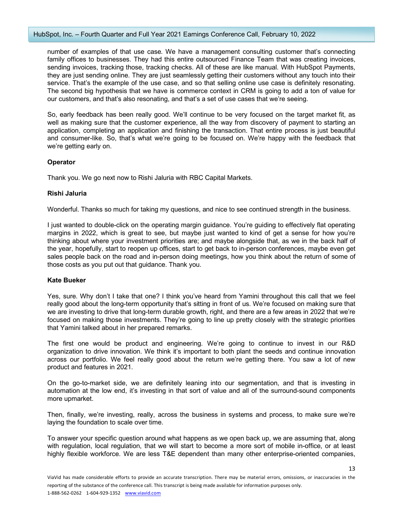number of examples of that use case. We have a management consulting customer that's connecting family offices to businesses. They had this entire outsourced Finance Team that was creating invoices, sending invoices, tracking those, tracking checks. All of these are like manual. With HubSpot Payments, they are just sending online. They are just seamlessly getting their customers without any touch into their service. That's the example of the use case, and so that selling online use case is definitely resonating. The second big hypothesis that we have is commerce context in CRM is going to add a ton of value for our customers, and that's also resonating, and that's a set of use cases that we're seeing.

So, early feedback has been really good. We'll continue to be very focused on the target market fit, as well as making sure that the customer experience, all the way from discovery of payment to starting an application, completing an application and finishing the transaction. That entire process is just beautiful and consumer-like. So, that's what we're going to be focused on. We're happy with the feedback that we're getting early on.

# **Operator**

Thank you. We go next now to Rishi Jaluria with RBC Capital Markets.

# **Rishi Jaluria**

Wonderful. Thanks so much for taking my questions, and nice to see continued strength in the business.

I just wanted to double-click on the operating margin guidance. You're guiding to effectively flat operating margins in 2022, which is great to see, but maybe just wanted to kind of get a sense for how you're thinking about where your investment priorities are; and maybe alongside that, as we in the back half of the year, hopefully, start to reopen up offices, start to get back to in-person conferences, maybe even get sales people back on the road and in-person doing meetings, how you think about the return of some of those costs as you put out that guidance. Thank you.

## **Kate Bueker**

Yes, sure. Why don't I take that one? I think you've heard from Yamini throughout this call that we feel really good about the long-term opportunity that's sitting in front of us. We're focused on making sure that we are investing to drive that long-term durable growth, right, and there are a few areas in 2022 that we're focused on making those investments. They're going to line up pretty closely with the strategic priorities that Yamini talked about in her prepared remarks.

The first one would be product and engineering. We're going to continue to invest in our R&D organization to drive innovation. We think it's important to both plant the seeds and continue innovation across our portfolio. We feel really good about the return we're getting there. You saw a lot of new product and features in 2021.

On the go-to-market side, we are definitely leaning into our segmentation, and that is investing in automation at the low end, it's investing in that sort of value and all of the surround-sound components more upmarket.

Then, finally, we're investing, really, across the business in systems and process, to make sure we're laying the foundation to scale over time.

To answer your specific question around what happens as we open back up, we are assuming that, along with regulation, local regulation, that we will start to become a more sort of mobile in-office, or at least highly flexible workforce. We are less T&E dependent than many other enterprise-oriented companies,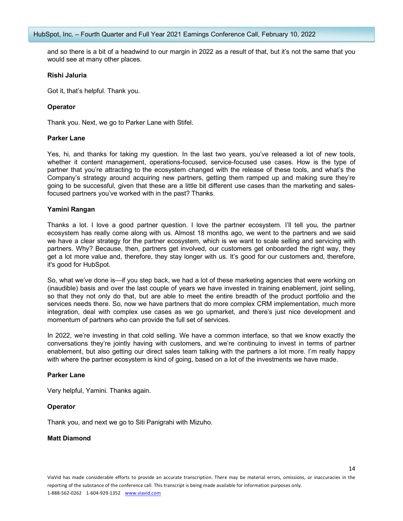and so there is a bit of a headwind to our margin in 2022 as a result of that, but it's not the same that you would see at many other places.

#### **Rishi Jaluria**

Got it, that's helpful. Thank you.

## **Operator**

Thank you. Next, we go to Parker Lane with Stifel.

#### **Parker Lane**

Yes, hi, and thanks for taking my question. In the last two years, you've released a lot of new tools, whether it content management, operations-focused, service-focused use cases. How is the type of partner that you're attracting to the ecosystem changed with the release of these tools, and what's the Company's strategy around acquiring new partners, getting them ramped up and making sure they're going to be successful, given that these are a little bit different use cases than the marketing and salesfocused partners you've worked with in the past? Thanks.

#### **Yamini Rangan**

Thanks a lot. I love a good partner question. I love the partner ecosystem. I'll tell you, the partner ecosystem has really come along with us. Almost 18 months ago, we went to the partners and we said we have a clear strategy for the partner ecosystem, which is we want to scale selling and servicing with partners. Why? Because, then, partners get involved, our customers get onboarded the right way, they get a lot more value and, therefore, they stay longer with us. It's good for our customers and, therefore, it's good for HubSpot.

So, what we've done is—if you step back, we had a lot of these marketing agencies that were working on (inaudible) basis and over the last couple of years we have invested in training enablement, joint selling, so that they not only do that, but are able to meet the entire breadth of the product portfolio and the services needs there. So, now we have partners that do more complex CRM implementation, much more integration, deal with complex use cases as we go upmarket, and there's just nice development and momentum of partners who can provide the full set of services.

In 2022, we're investing in that cold selling. We have a common interface, so that we know exactly the conversations they're jointly having with customers, and we're continuing to invest in terms of partner enablement, but also getting our direct sales team talking with the partners a lot more. I'm really happy with where the partner ecosystem is kind of going, based on a lot of the investments we have made.

#### **Parker Lane**

Very helpful, Yamini. Thanks again.

## **Operator**

Thank you, and next we go to Siti Panigrahi with Mizuho.

## **Matt Diamond**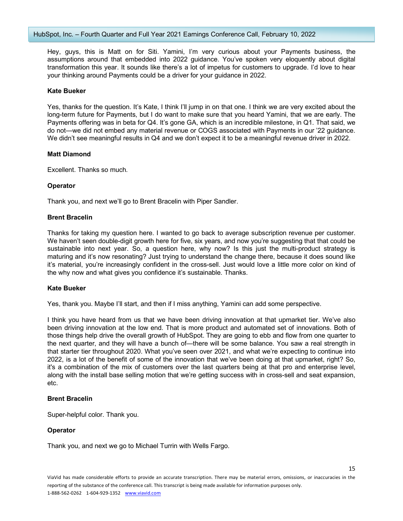Hey, guys, this is Matt on for Siti. Yamini, I'm very curious about your Payments business, the assumptions around that embedded into 2022 guidance. You've spoken very eloquently about digital transformation this year. It sounds like there's a lot of impetus for customers to upgrade. I'd love to hear your thinking around Payments could be a driver for your guidance in 2022.

#### **Kate Bueker**

Yes, thanks for the question. It's Kate, I think I'll jump in on that one. I think we are very excited about the long-term future for Payments, but I do want to make sure that you heard Yamini, that we are early. The Payments offering was in beta for Q4. It's gone GA, which is an incredible milestone, in Q1. That said, we do not—we did not embed any material revenue or COGS associated with Payments in our '22 guidance. We didn't see meaningful results in Q4 and we don't expect it to be a meaningful revenue driver in 2022.

#### **Matt Diamond**

Excellent. Thanks so much.

#### **Operator**

Thank you, and next we'll go to Brent Bracelin with Piper Sandler.

#### **Brent Bracelin**

Thanks for taking my question here. I wanted to go back to average subscription revenue per customer. We haven't seen double-digit growth here for five, six years, and now you're suggesting that that could be sustainable into next year. So, a question here, why now? Is this just the multi-product strategy is maturing and it's now resonating? Just trying to understand the change there, because it does sound like it's material, you're increasingly confident in the cross-sell. Just would love a little more color on kind of the why now and what gives you confidence it's sustainable. Thanks.

## **Kate Bueker**

Yes, thank you. Maybe I'll start, and then if I miss anything, Yamini can add some perspective.

I think you have heard from us that we have been driving innovation at that upmarket tier. We've also been driving innovation at the low end. That is more product and automated set of innovations. Both of those things help drive the overall growth of HubSpot. They are going to ebb and flow from one quarter to the next quarter, and they will have a bunch of—there will be some balance. You saw a real strength in that starter tier throughout 2020. What you've seen over 2021, and what we're expecting to continue into 2022, is a lot of the benefit of some of the innovation that we've been doing at that upmarket, right? So, it's a combination of the mix of customers over the last quarters being at that pro and enterprise level, along with the install base selling motion that we're getting success with in cross-sell and seat expansion, etc.

## **Brent Bracelin**

Super-helpful color. Thank you.

## **Operator**

Thank you, and next we go to Michael Turrin with Wells Fargo.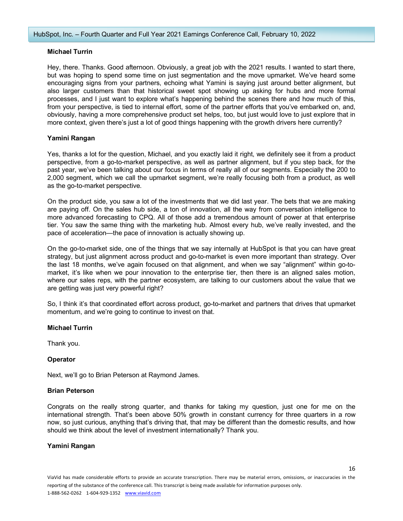# **Michael Turrin**

Hey, there. Thanks. Good afternoon. Obviously, a great job with the 2021 results. I wanted to start there, but was hoping to spend some time on just segmentation and the move upmarket. We've heard some encouraging signs from your partners, echoing what Yamini is saying just around better alignment, but also larger customers than that historical sweet spot showing up asking for hubs and more formal processes, and I just want to explore what's happening behind the scenes there and how much of this, from your perspective, is tied to internal effort, some of the partner efforts that you've embarked on, and, obviously, having a more comprehensive product set helps, too, but just would love to just explore that in more context, given there's just a lot of good things happening with the growth drivers here currently?

## **Yamini Rangan**

Yes, thanks a lot for the question, Michael, and you exactly laid it right, we definitely see it from a product perspective, from a go-to-market perspective, as well as partner alignment, but if you step back, for the past year, we've been talking about our focus in terms of really all of our segments. Especially the 200 to 2,000 segment, which we call the upmarket segment, we're really focusing both from a product, as well as the go-to-market perspective.

On the product side, you saw a lot of the investments that we did last year. The bets that we are making are paying off. On the sales hub side, a ton of innovation, all the way from conversation intelligence to more advanced forecasting to CPQ. All of those add a tremendous amount of power at that enterprise tier. You saw the same thing with the marketing hub. Almost every hub, we've really invested, and the pace of acceleration—the pace of innovation is actually showing up.

On the go-to-market side, one of the things that we say internally at HubSpot is that you can have great strategy, but just alignment across product and go-to-market is even more important than strategy. Over the last 18 months, we've again focused on that alignment, and when we say "alignment" within go-tomarket, it's like when we pour innovation to the enterprise tier, then there is an aligned sales motion, where our sales reps, with the partner ecosystem, are talking to our customers about the value that we are getting was just very powerful right?

So, I think it's that coordinated effort across product, go-to-market and partners that drives that upmarket momentum, and we're going to continue to invest on that.

## **Michael Turrin**

Thank you.

## **Operator**

Next, we'll go to Brian Peterson at Raymond James.

#### **Brian Peterson**

Congrats on the really strong quarter, and thanks for taking my question, just one for me on the international strength. That's been above 50% growth in constant currency for three quarters in a row now, so just curious, anything that's driving that, that may be different than the domestic results, and how should we think about the level of investment internationally? Thank you.

#### **Yamini Rangan**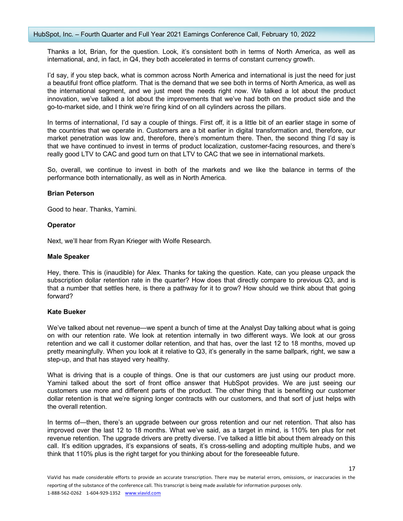Thanks a lot, Brian, for the question. Look, it's consistent both in terms of North America, as well as international, and, in fact, in Q4, they both accelerated in terms of constant currency growth.

I'd say, if you step back, what is common across North America and international is just the need for just a beautiful front office platform. That is the demand that we see both in terms of North America, as well as the international segment, and we just meet the needs right now. We talked a lot about the product innovation, we've talked a lot about the improvements that we've had both on the product side and the go-to-market side, and I think we're firing kind of on all cylinders across the pillars.

In terms of international, I'd say a couple of things. First off, it is a little bit of an earlier stage in some of the countries that we operate in. Customers are a bit earlier in digital transformation and, therefore, our market penetration was low and, therefore, there's momentum there. Then, the second thing I'd say is that we have continued to invest in terms of product localization, customer-facing resources, and there's really good LTV to CAC and good turn on that LTV to CAC that we see in international markets.

So, overall, we continue to invest in both of the markets and we like the balance in terms of the performance both internationally, as well as in North America.

## **Brian Peterson**

Good to hear. Thanks, Yamini.

# **Operator**

Next, we'll hear from Ryan Krieger with Wolfe Research.

## **Male Speaker**

Hey, there. This is (inaudible) for Alex. Thanks for taking the question. Kate, can you please unpack the subscription dollar retention rate in the quarter? How does that directly compare to previous Q3, and is that a number that settles here, is there a pathway for it to grow? How should we think about that going forward?

# **Kate Bueker**

We've talked about net revenue—we spent a bunch of time at the Analyst Day talking about what is going on with our retention rate. We look at retention internally in two different ways. We look at our gross retention and we call it customer dollar retention, and that has, over the last 12 to 18 months, moved up pretty meaningfully. When you look at it relative to Q3, it's generally in the same ballpark, right, we saw a step-up, and that has stayed very healthy.

What is driving that is a couple of things. One is that our customers are just using our product more. Yamini talked about the sort of front office answer that HubSpot provides. We are just seeing our customers use more and different parts of the product. The other thing that is benefiting our customer dollar retention is that we're signing longer contracts with our customers, and that sort of just helps with the overall retention.

In terms of—then, there's an upgrade between our gross retention and our net retention. That also has improved over the last 12 to 18 months. What we've said, as a target in mind, is 110% ten plus for net revenue retention. The upgrade drivers are pretty diverse. I've talked a little bit about them already on this call. It's edition upgrades, it's expansions of seats, it's cross-selling and adopting multiple hubs, and we think that 110% plus is the right target for you thinking about for the foreseeable future.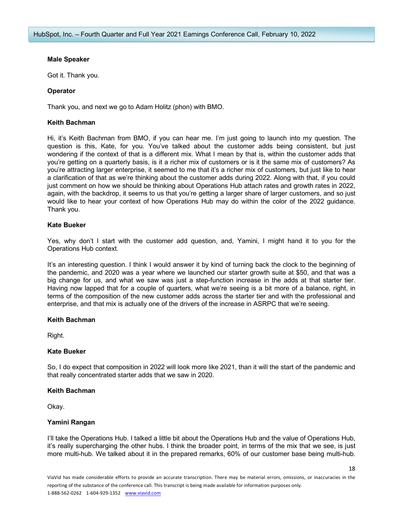## **Male Speaker**

Got it. Thank you.

# **Operator**

Thank you, and next we go to Adam Holitz (phon) with BMO.

## **Keith Bachman**

Hi, it's Keith Bachman from BMO, if you can hear me. I'm just going to launch into my question. The question is this, Kate, for you. You've talked about the customer adds being consistent, but just wondering if the context of that is a different mix. What I mean by that is, within the customer adds that you're getting on a quarterly basis, is it a richer mix of customers or is it the same mix of customers? As you're attracting larger enterprise, it seemed to me that it's a richer mix of customers, but just like to hear a clarification of that as we're thinking about the customer adds during 2022. Along with that, if you could just comment on how we should be thinking about Operations Hub attach rates and growth rates in 2022, again, with the backdrop, it seems to us that you're getting a larger share of larger customers, and so just would like to hear your context of how Operations Hub may do within the color of the 2022 guidance. Thank you.

# **Kate Bueker**

Yes, why don't I start with the customer add question, and, Yamini, I might hand it to you for the Operations Hub context.

It's an interesting question. I think I would answer it by kind of turning back the clock to the beginning of the pandemic, and 2020 was a year where we launched our starter growth suite at \$50, and that was a big change for us, and what we saw was just a step-function increase in the adds at that starter tier. Having now lapped that for a couple of quarters, what we're seeing is a bit more of a balance, right, in terms of the composition of the new customer adds across the starter tier and with the professional and enterprise, and that mix is actually one of the drivers of the increase in ASRPC that we're seeing.

## **Keith Bachman**

Right.

## **Kate Bueker**

So, I do expect that composition in 2022 will look more like 2021, than it will the start of the pandemic and that really concentrated starter adds that we saw in 2020.

## **Keith Bachman**

Okay.

## **Yamini Rangan**

I'll take the Operations Hub. I talked a little bit about the Operations Hub and the value of Operations Hub, it's really supercharging the other hubs. I think the broader point, in terms of the mix that we see, is just more multi-hub. We talked about it in the prepared remarks, 60% of our customer base being multi-hub.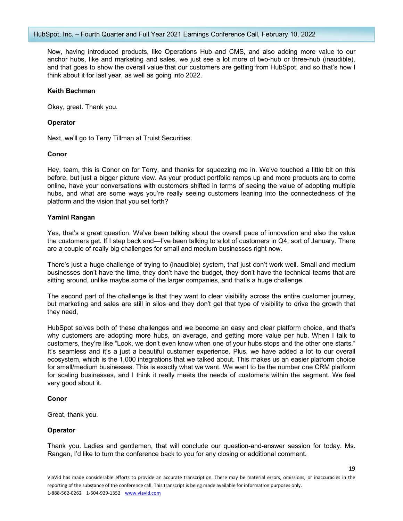Now, having introduced products, like Operations Hub and CMS, and also adding more value to our anchor hubs, like and marketing and sales, we just see a lot more of two-hub or three-hub (inaudible), and that goes to show the overall value that our customers are getting from HubSpot, and so that's how I think about it for last year, as well as going into 2022.

#### **Keith Bachman**

Okay, great. Thank you.

#### **Operator**

Next, we'll go to Terry Tillman at Truist Securities.

## **Conor**

Hey, team, this is Conor on for Terry, and thanks for squeezing me in. We've touched a little bit on this before, but just a bigger picture view. As your product portfolio ramps up and more products are to come online, have your conversations with customers shifted in terms of seeing the value of adopting multiple hubs, and what are some ways you're really seeing customers leaning into the connectedness of the platform and the vision that you set forth?

#### **Yamini Rangan**

Yes, that's a great question. We've been talking about the overall pace of innovation and also the value the customers get. If I step back and—I've been talking to a lot of customers in Q4, sort of January. There are a couple of really big challenges for small and medium businesses right now.

There's just a huge challenge of trying to (inaudible) system, that just don't work well. Small and medium businesses don't have the time, they don't have the budget, they don't have the technical teams that are sitting around, unlike maybe some of the larger companies, and that's a huge challenge.

The second part of the challenge is that they want to clear visibility across the entire customer journey, but marketing and sales are still in silos and they don't get that type of visibility to drive the growth that they need,

HubSpot solves both of these challenges and we become an easy and clear platform choice, and that's why customers are adopting more hubs, on average, and getting more value per hub. When I talk to customers, they're like "Look, we don't even know when one of your hubs stops and the other one starts." It's seamless and it's a just a beautiful customer experience. Plus, we have added a lot to our overall ecosystem, which is the 1,000 integrations that we talked about. This makes us an easier platform choice for small/medium businesses. This is exactly what we want. We want to be the number one CRM platform for scaling businesses, and I think it really meets the needs of customers within the segment. We feel very good about it.

## **Conor**

Great, thank you.

## **Operator**

Thank you. Ladies and gentlemen, that will conclude our question-and-answer session for today. Ms. Rangan, I'd like to turn the conference back to you for any closing or additional comment.